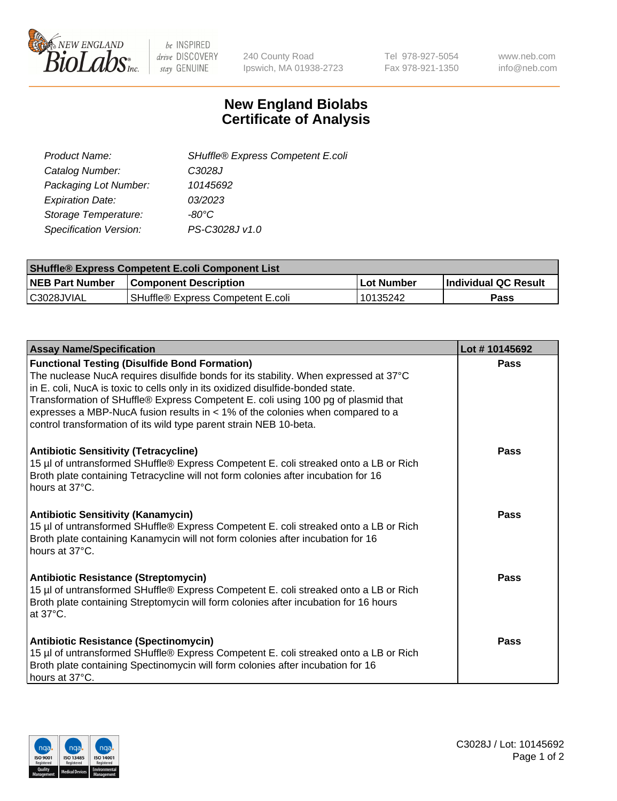

be INSPIRED drive DISCOVERY stay GENUINE

240 County Road Ipswich, MA 01938-2723 Tel 978-927-5054 Fax 978-921-1350 www.neb.com info@neb.com

## **New England Biolabs Certificate of Analysis**

| SHuffle® Express Competent E.coli |
|-----------------------------------|
| C3028J                            |
| 10145692                          |
| 03/2023                           |
| -80°C                             |
| PS-C3028J v1.0                    |
|                                   |

| <b>SHuffle® Express Competent E.coli Component List</b> |                                   |             |                       |  |
|---------------------------------------------------------|-----------------------------------|-------------|-----------------------|--|
| <b>NEB Part Number</b>                                  | <b>Component Description</b>      | ∣Lot Number | ∣Individual QC Result |  |
| IC3028JVIAL                                             | SHuffle® Express Competent E.coli | 10135242    | Pass                  |  |

| <b>Assay Name/Specification</b>                                                                                                                                                                                                                                                                                                                                                                                                                                              | Lot #10145692 |
|------------------------------------------------------------------------------------------------------------------------------------------------------------------------------------------------------------------------------------------------------------------------------------------------------------------------------------------------------------------------------------------------------------------------------------------------------------------------------|---------------|
| <b>Functional Testing (Disulfide Bond Formation)</b><br>The nuclease NucA requires disulfide bonds for its stability. When expressed at 37°C<br>in E. coli, NucA is toxic to cells only in its oxidized disulfide-bonded state.<br>Transformation of SHuffle® Express Competent E. coli using 100 pg of plasmid that<br>expresses a MBP-NucA fusion results in < 1% of the colonies when compared to a<br>control transformation of its wild type parent strain NEB 10-beta. | Pass          |
| <b>Antibiotic Sensitivity (Tetracycline)</b><br>15 µl of untransformed SHuffle® Express Competent E. coli streaked onto a LB or Rich<br>Broth plate containing Tetracycline will not form colonies after incubation for 16<br>hours at 37°C.                                                                                                                                                                                                                                 | Pass          |
| <b>Antibiotic Sensitivity (Kanamycin)</b><br>15 µl of untransformed SHuffle® Express Competent E. coli streaked onto a LB or Rich<br>Broth plate containing Kanamycin will not form colonies after incubation for 16<br>hours at 37°C.                                                                                                                                                                                                                                       | Pass          |
| <b>Antibiotic Resistance (Streptomycin)</b><br>15 µl of untransformed SHuffle® Express Competent E. coli streaked onto a LB or Rich<br>Broth plate containing Streptomycin will form colonies after incubation for 16 hours<br>at 37°C.                                                                                                                                                                                                                                      | Pass          |
| <b>Antibiotic Resistance (Spectinomycin)</b><br>15 µl of untransformed SHuffle® Express Competent E. coli streaked onto a LB or Rich<br>Broth plate containing Spectinomycin will form colonies after incubation for 16<br>hours at 37°C.                                                                                                                                                                                                                                    | Pass          |